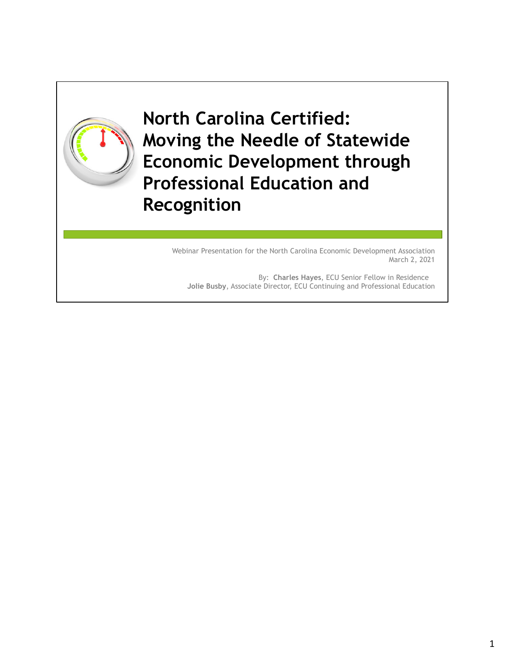

**North Carolina Certified: Moving the Needle of Statewide Economic Development through Professional Education and Recognition**

> Webinar Presentation for the North Carolina Economic Development Association March 2, 2021

By: **Charles Hayes**, ECU Senior Fellow in Residence **Jolie Busby**, Associate Director, ECU Continuing and Professional Education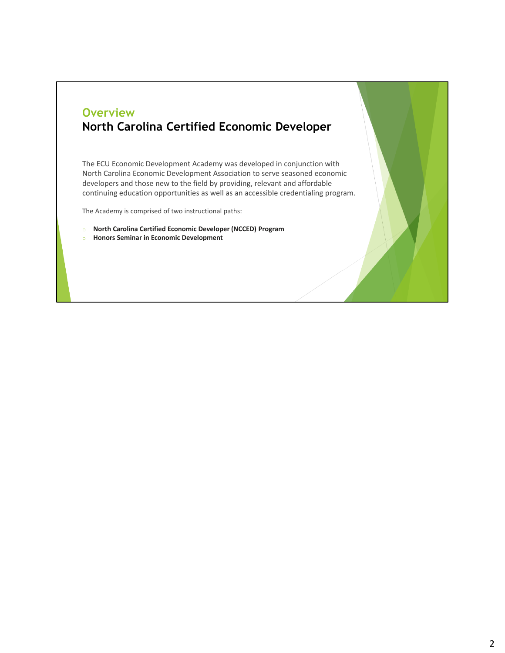#### **Overview North Carolina Certified Economic Developer**

The ECU Economic Development Academy was developed in conjunction with North Carolina Economic Development Association to serve seasoned economic developers and those new to the field by providing, relevant and affordable continuing education opportunities as well as an accessible credentialing program.

The Academy is comprised of two instructional paths:

- o **North Carolina Certified Economic Developer (NCCED) Program**
- o **Honors Seminar in Economic Development**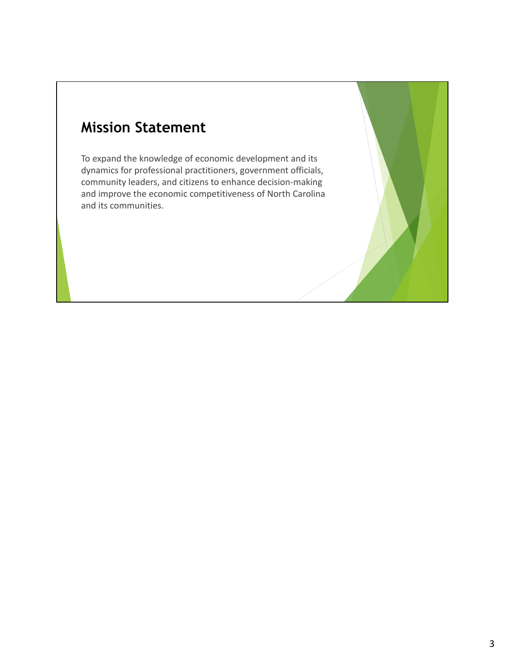### **Mission Statement**

To expand the knowledge of economic development and its dynamics for professional practitioners, government officials, community leaders, and citizens to enhance decision‐making and improve the economic competitiveness of North Carolina and its communities.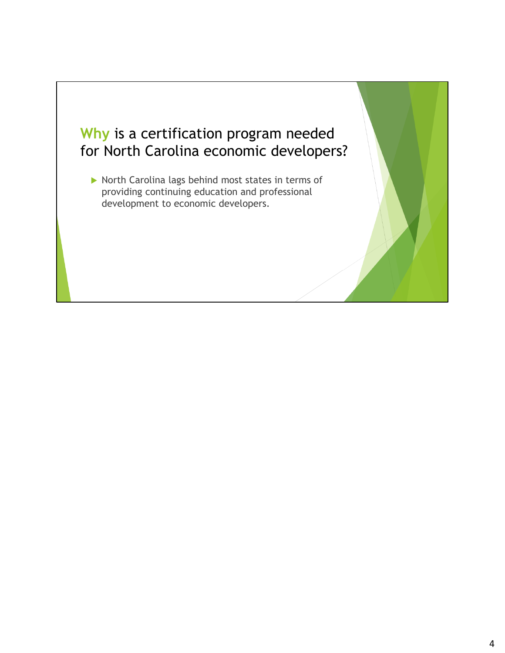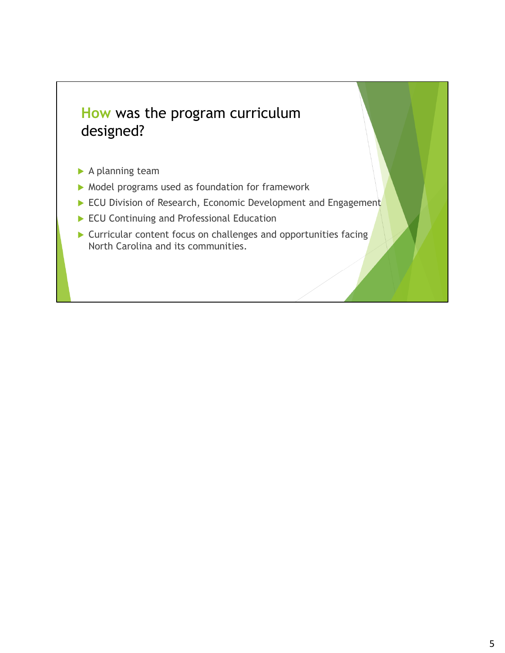#### **How** was the program curriculum designed?

- A planning team
- $\blacktriangleright$  Model programs used as foundation for framework
- ECU Division of Research, Economic Development and Engagement
- ECU Continuing and Professional Education
- ▶ Curricular content focus on challenges and opportunities facing North Carolina and its communities.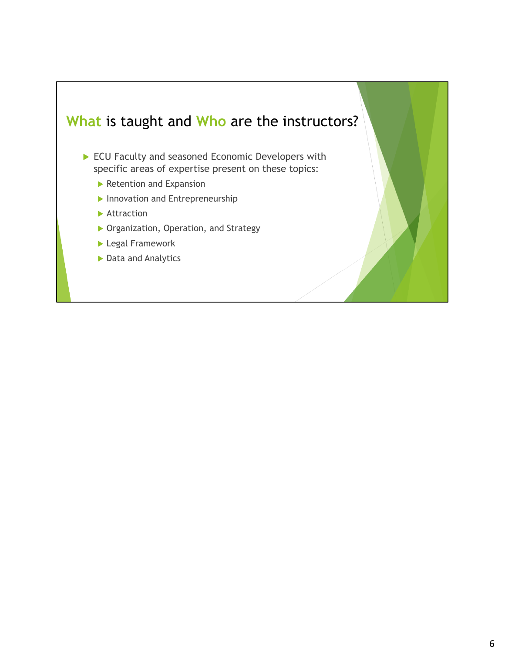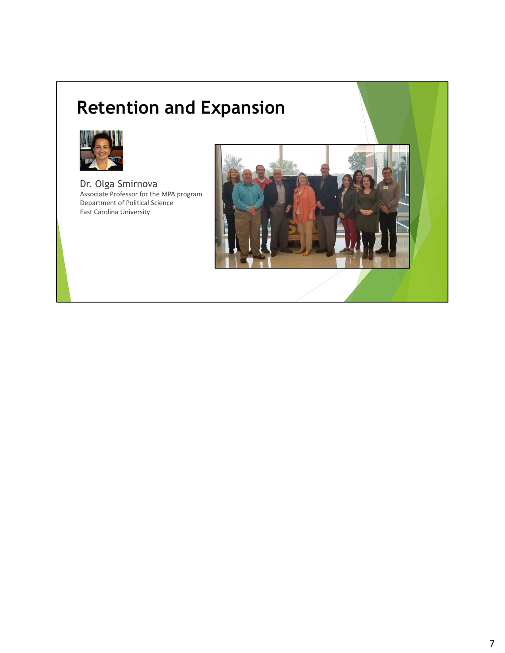## **Retention and Expansion**



Dr. Olga Smirnova Associate Professor for the MPA program Department of Political Science East Carolina University

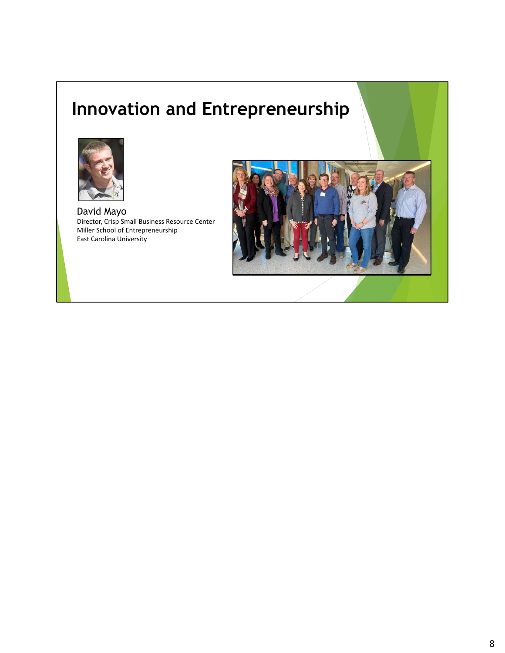### **Innovation and Entrepreneurship**



David Mayo Director, Crisp Small Business Resource Center Miller School of Entrepreneurship East Carolina University

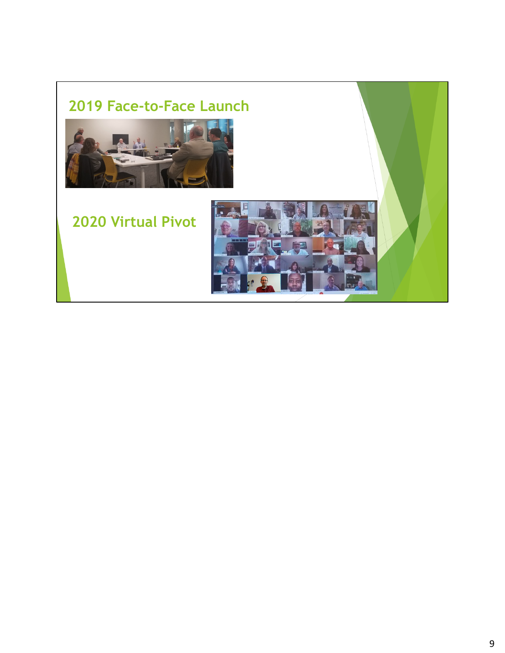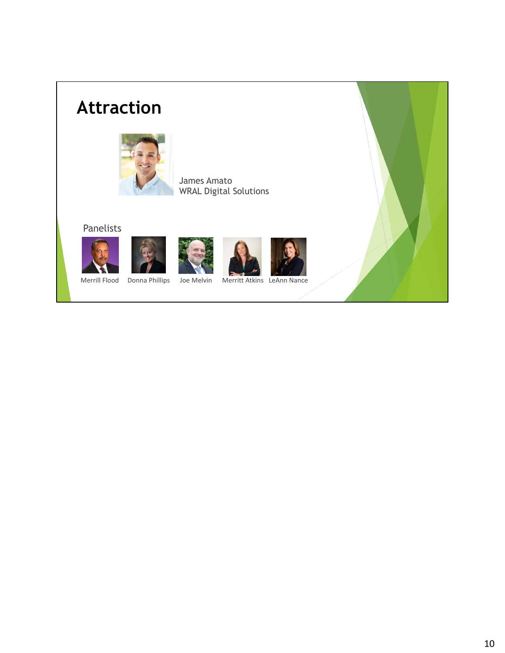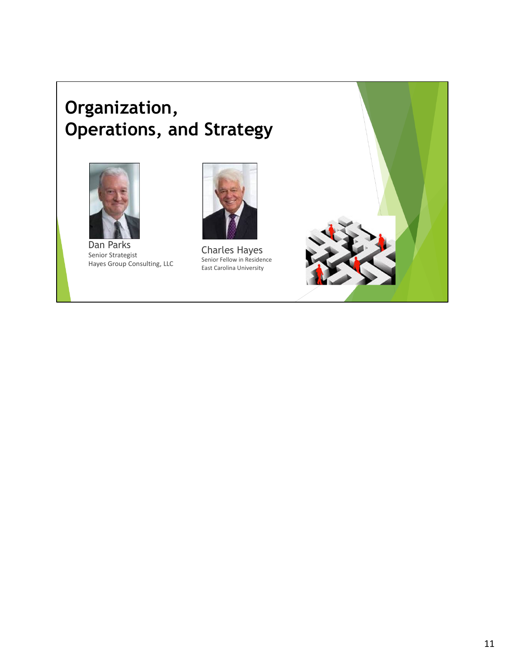### **Organization, Operations, and Strategy**



Dan Parks Senior Strategist Hayes Group Consulting, LLC



Charles Hayes Senior Fellow in Residence East Carolina University

11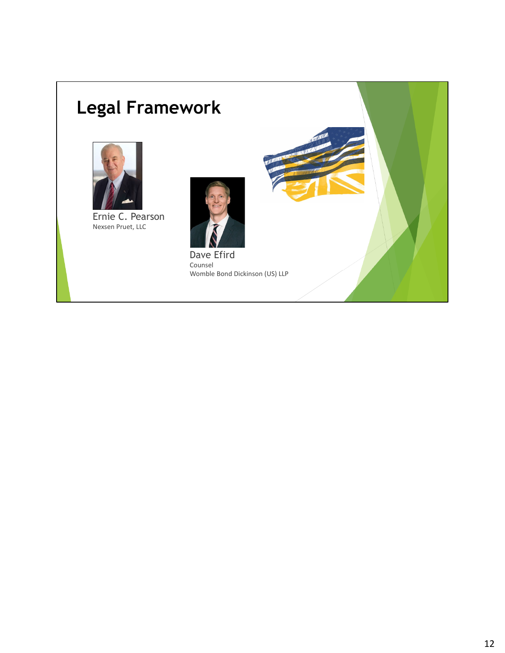# **Legal Framework**



Ernie C. Pearson Nexsen Pruet, LLC



Dave Efird Counsel Womble Bond Dickinson (US) LLP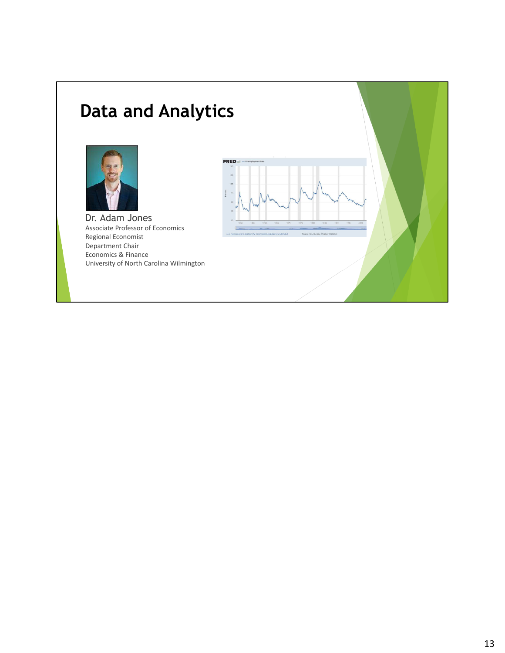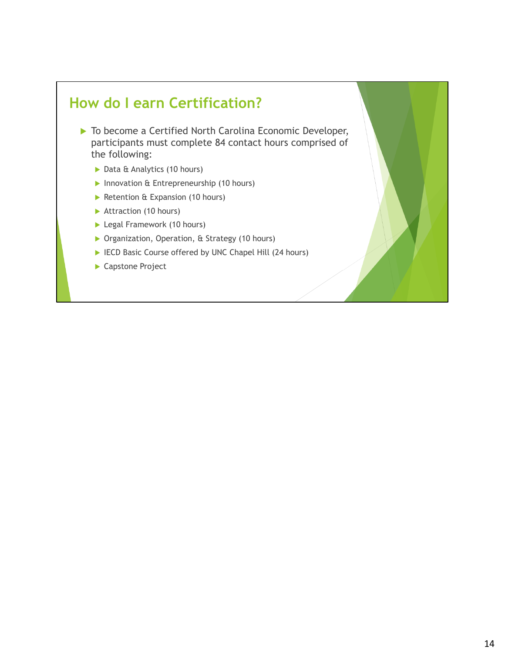#### **How do I earn Certification?**

- ▶ To become a Certified North Carolina Economic Developer, participants must complete 84 contact hours comprised of the following:
	- ▶ Data & Analytics (10 hours)
	- Innovation & Entrepreneurship (10 hours)
	- Retention  $E$  Expansion (10 hours)
	- Attraction (10 hours)
	- **Legal Framework (10 hours)**
	- ▶ Organization, Operation, & Strategy (10 hours)
	- ▶ IECD Basic Course offered by UNC Chapel Hill (24 hours)
	- ▶ Capstone Project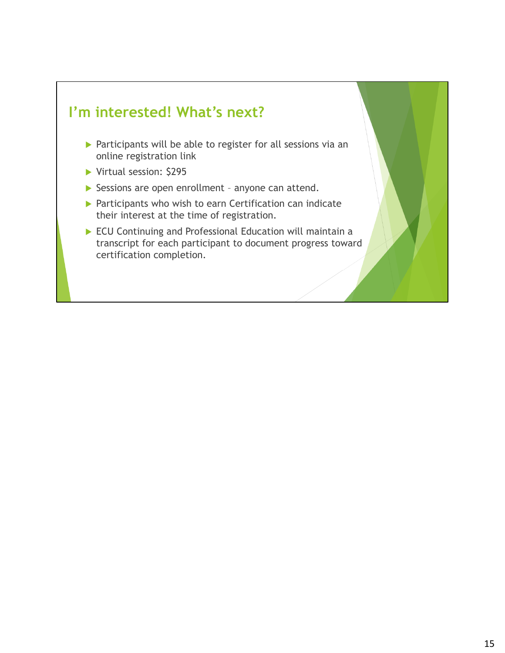